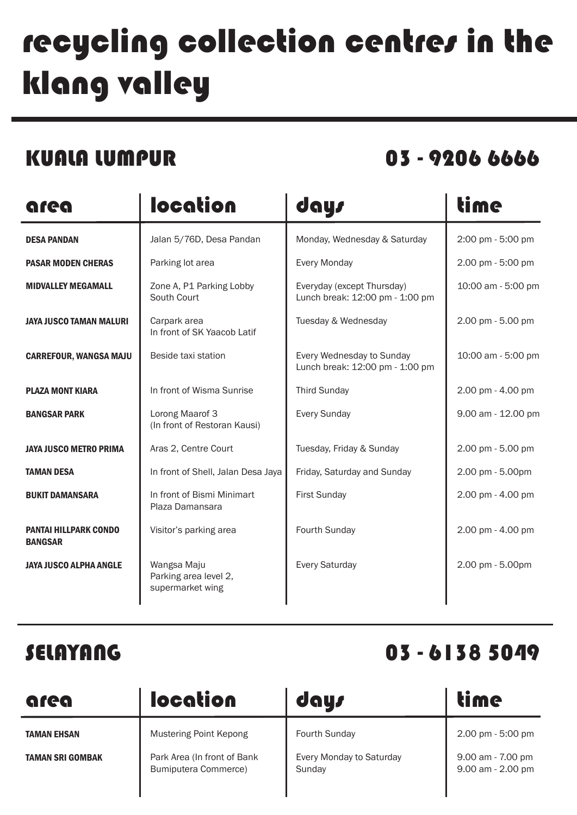# recycling collection centres in the klang valley

KUALA LUMPUR 03 - 9206 6666

| area                                           | location                                                 | days                                                          | <b>time</b>        |
|------------------------------------------------|----------------------------------------------------------|---------------------------------------------------------------|--------------------|
| <b>DESA PANDAN</b>                             | Jalan 5/76D, Desa Pandan                                 | Monday, Wednesday & Saturday                                  | 2:00 pm - 5:00 pm  |
| <b>PASAR MODEN CHERAS</b>                      | Parking lot area                                         | <b>Every Monday</b>                                           | 2.00 pm - 5:00 pm  |
| <b>MIDVALLEY MEGAMALL</b>                      | Zone A, P1 Parking Lobby<br>South Court                  | Everyday (except Thursday)<br>Lunch break: 12:00 pm - 1:00 pm | 10:00 am - 5:00 pm |
| <b>JAYA JUSCO TAMAN MALURI</b>                 | Carpark area<br>In front of SK Yaacob Latif              | Tuesday & Wednesday                                           | 2.00 pm - 5.00 pm  |
| <b>CARREFOUR, WANGSA MAJU</b>                  | Beside taxi station                                      | Every Wednesday to Sunday<br>Lunch break: 12:00 pm - 1:00 pm  | 10:00 am - 5:00 pm |
| <b>PLAZA MONT KIARA</b>                        | In front of Wisma Sunrise                                | <b>Third Sunday</b>                                           | 2.00 pm - 4.00 pm  |
| <b>BANGSAR PARK</b>                            | Lorong Maarof 3<br>(In front of Restoran Kausi)          | <b>Every Sunday</b>                                           | 9.00 am - 12.00 pm |
| <b>JAYA JUSCO METRO PRIMA</b>                  | Aras 2, Centre Court                                     | Tuesday, Friday & Sunday                                      | 2.00 pm - 5.00 pm  |
| <b>TAMAN DESA</b>                              | In front of Shell, Jalan Desa Jaya                       | Friday, Saturday and Sunday                                   | 2.00 pm - 5.00pm   |
| <b>BUKIT DAMANSARA</b>                         | In front of Bismi Minimart<br>Plaza Damansara            | <b>First Sunday</b>                                           | 2.00 pm - 4.00 pm  |
| <b>PANTAI HILLPARK CONDO</b><br><b>BANGSAR</b> | Visitor's parking area                                   | Fourth Sunday                                                 | 2.00 pm - 4.00 pm  |
| <b>JAYA JUSCO ALPHA ANGLE</b>                  | Wangsa Maju<br>Parking area level 2,<br>supermarket wing | <b>Every Saturday</b>                                         | 2.00 pm - 5.00pm   |

## SELAYANG 03 - 6138 5049

| area                                   | location                                                                             | days                                                       | time                                                        |
|----------------------------------------|--------------------------------------------------------------------------------------|------------------------------------------------------------|-------------------------------------------------------------|
| <b>TAMAN EHSAN</b><br>TAMAN SRI GOMBAK | <b>Mustering Point Kepong</b><br>Park Area (In front of Bank<br>Bumiputera Commerce) | <b>Fourth Sunday</b><br>Every Monday to Saturday<br>Sunday | 2.00 pm - 5:00 pm<br>9.00 am - 7.00 pm<br>9.00 am - 2.00 pm |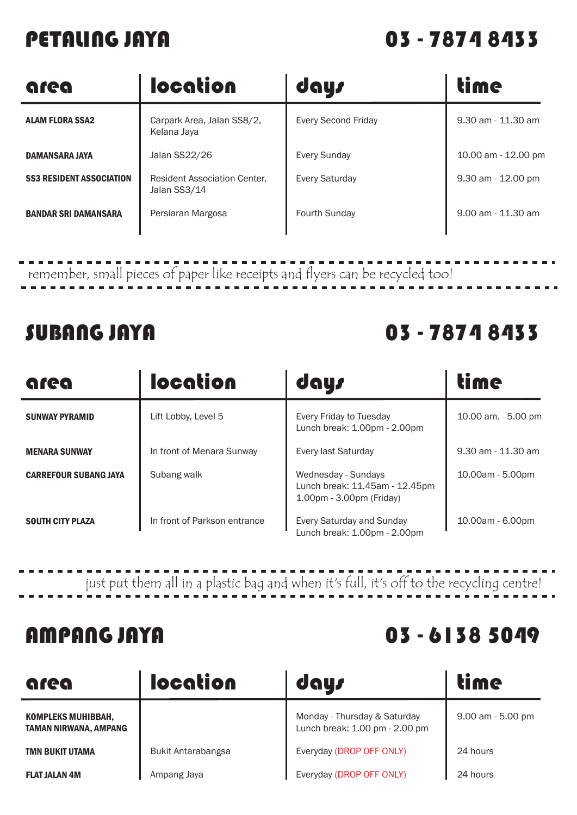### PETALING JAYA 03 - 7874 8433

| area                            | <b>location</b>                                     | days                       | <b>time</b>          |
|---------------------------------|-----------------------------------------------------|----------------------------|----------------------|
| <b>ALAM FLORA SSA2</b>          | Carpark Area, Jalan SS8/2,<br>Kelana Jaya           | <b>Every Second Friday</b> | 9.30 am - 11.30 am   |
| <b>DAMANSARA JAYA</b>           | Jalan SS22/26                                       | <b>Every Sunday</b>        | 10.00 am - 12.00 pm  |
| <b>SS3 RESIDENT ASSOCIATION</b> | <b>Resident Association Center,</b><br>Jalan SS3/14 | <b>Every Saturday</b>      | 9.30 am - 12.00 pm   |
| <b>BANDAR SRI DAMANSARA</b>     | Persiaran Margosa                                   | Fourth Sunday              | $9.00$ am - 11.30 am |

remember, small pieces of paper like receipts and flyers can be recycled too!

### SUBANG JAYA 03 - 7874 8433

| area                         | location                     | days                                                                              | time                |
|------------------------------|------------------------------|-----------------------------------------------------------------------------------|---------------------|
| <b>SUNWAY PYRAMID</b>        | Lift Lobby, Level 5          | Every Friday to Tuesday<br>Lunch break: 1.00pm - 2.00pm                           | 10.00 am. - 5.00 pm |
| <b>MENARA SUNWAY</b>         | In front of Menara Sunway    | Every last Saturday                                                               | 9.30 am - 11.30 am  |
| <b>CARREFOUR SUBANG JAYA</b> | Subang walk                  | Wednesday - Sundays<br>Lunch break: 11.45am - 12.45pm<br>1.00pm - 3.00pm (Friday) | 10.00am - 5.00pm    |
| <b>SOUTH CITY PLAZA</b>      | In front of Parkson entrance | Every Saturday and Sunday<br>Lunch break: 1.00pm - 2.00pm                         | 10.00am - 6.00pm    |

just put them all in a plastic bag and when it's full, it's off to the recycling centre!

### AMPANG JAYA 03 - 6138 5049

| area                                        | location           | days                                                           | <b>time</b>          |
|---------------------------------------------|--------------------|----------------------------------------------------------------|----------------------|
| KOMPLEKS MUHIBBAH,<br>TAMAN NIRWANA, AMPANG |                    | Monday - Thursday & Saturday<br>Lunch break: 1.00 pm - 2.00 pm | $9.00$ am $-5.00$ pm |
| <b>TMN BUKIT UTAMA</b>                      | Bukit Antarabangsa | Everyday (DROP OFF ONLY)                                       | 24 hours             |
| <b>FLAT JALAN 4M</b>                        | Ampang Jaya        | Everyday (DROP OFF ONLY)                                       | 24 hours             |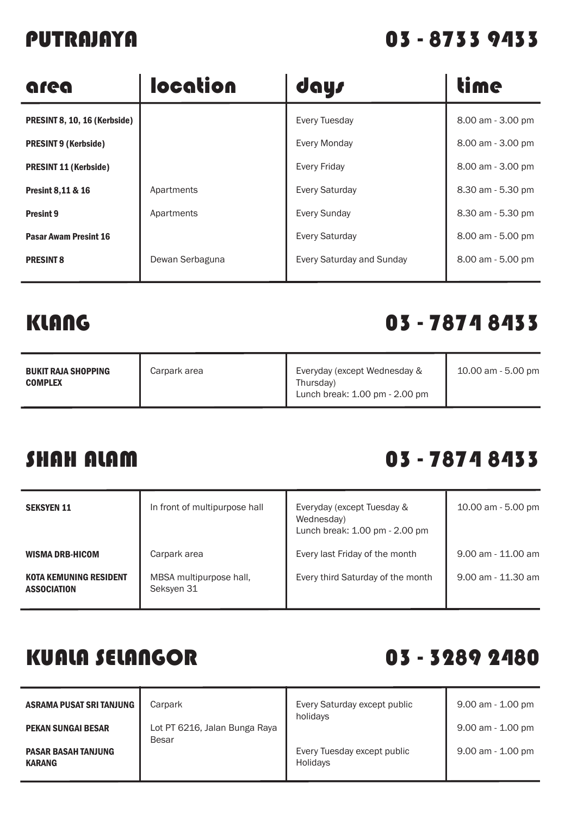### PUTRAJAYA 03 - 8733 9433

| area                         | location        | days                      | time              |
|------------------------------|-----------------|---------------------------|-------------------|
| PRESINT 8, 10, 16 (Kerbside) |                 | Every Tuesday             | 8.00 am - 3.00 pm |
| <b>PRESINT 9 (Kerbside)</b>  |                 | Every Monday              | 8.00 am - 3.00 pm |
| <b>PRESINT 11 (Kerbside)</b> |                 | <b>Every Friday</b>       | 8.00 am - 3.00 pm |
| <b>Presint 8,11 &amp; 16</b> | Apartments      | <b>Every Saturday</b>     | 8.30 am - 5.30 pm |
| <b>Presint 9</b>             | Apartments      | <b>Every Sunday</b>       | 8.30 am - 5.30 pm |
| <b>Pasar Awam Presint 16</b> |                 | <b>Every Saturday</b>     | 8.00 am - 5.00 pm |
| <b>PRESINT 8</b>             | Dewan Serbaguna | Every Saturday and Sunday | 8.00 am - 5.00 pm |
|                              |                 |                           |                   |

### KLANG 03 - 7874 8433

÷

| <b>BUKIT RAJA SHOPPING</b><br><b>COMPLEX</b> | Carpark area | Everyday (except Wednesday &<br>Thursday)<br>Lunch break: 1.00 pm - 2.00 pm | 10.00 am - 5.00 pm |
|----------------------------------------------|--------------|-----------------------------------------------------------------------------|--------------------|
|----------------------------------------------|--------------|-----------------------------------------------------------------------------|--------------------|

### SHAH ALAM 03 - 7874 8433

| <b>SEKSYEN 11</b>                                   | In front of multipurpose hall         | Everyday (except Tuesday &<br>Wednesday)<br>Lunch break: 1.00 pm - 2.00 pm | 10.00 am - 5.00 pm |
|-----------------------------------------------------|---------------------------------------|----------------------------------------------------------------------------|--------------------|
| <b>WISMA DRB-HICOM</b>                              | Carpark area                          | Every last Friday of the month                                             | 9.00 am - 11.00 am |
| <b>KOTA KEMUNING RESIDENT</b><br><b>ASSOCIATION</b> | MBSA multipurpose hall,<br>Seksyen 31 | Every third Saturday of the month                                          | 9.00 am - 11.30 am |

## KUALA SELANGOR 03 - 3289 2480

| ASRAMA PUSAT SRI TANJUNG                    | Carpark                                | Every Saturday except public<br>holidavs       | $9.00$ am $- 1.00$ pm |
|---------------------------------------------|----------------------------------------|------------------------------------------------|-----------------------|
| <b>PEKAN SUNGAI BESAR</b>                   | Lot PT 6216, Jalan Bunga Raya<br>Besar |                                                | $9.00$ am $-1.00$ pm  |
| <b>PASAR BASAH TANJUNG</b><br><b>KARANG</b> |                                        | Every Tuesday except public<br><b>Holidavs</b> | $9.00$ am $-1.00$ pm  |